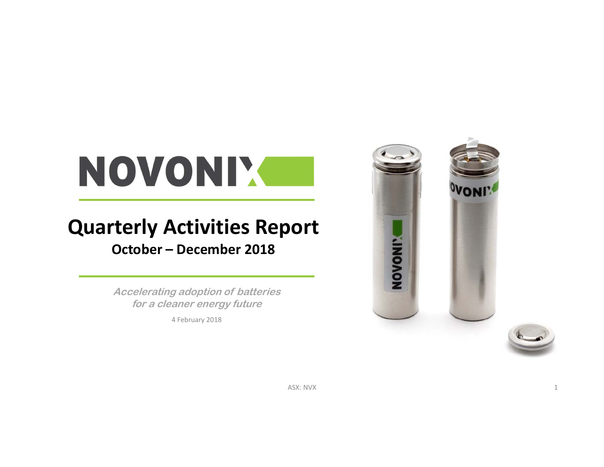# NOVONIX

### **Quarterly Activities Report October – December 2018**

**Accelerating adoption of batteries for a cleaner energy future**

4 February 2018



ASX: NVX 1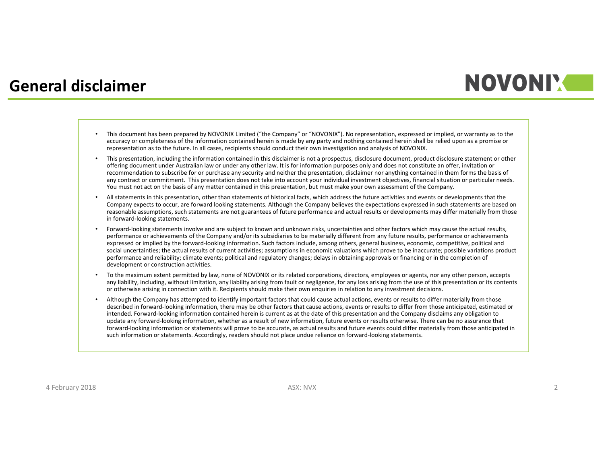#### **General disclaimer**

### **NOVONIM**

- This document has been prepared by NOVONIX Limited ("the Company" or "NOVONIX"). No representation, expressed or implied, or warranty as to the accuracy or completeness of the information contained herein is made by any party and nothing contained herein shall be relied upon as a promise or representation as to the future. In all cases, recipients should conduct their own investigation and analysis of NOVONIX.
- • This presentation, including the information contained in this disclaimer is not a prospectus, disclosure document, product disclosure statement or other offering document under Australian law or under any other law. It is for information purposes only and does not constitute an offer, invitation or recommendation to subscribe for or purchase any security and neither the presentation, disclaimer nor anything contained in them forms the basis of any contract or commitment. This presentation does not take into account your individual investment objectives, financial situation or particular needs. You must not act on the basis of any matter contained in this presentation, but must make your own assessment of the Company.
- • All statements in this presentation, other than statements of historical facts, which address the future activities and events or developments that the Company expects to occur, are forward looking statements. Although the Company believes the expectations expressed in such statements are based on reasonable assumptions, such statements are not guarantees of future performance and actual results or developments may differ materially from those in forward‐looking statements.
- •Forward-looking statements involve and are subject to known and unknown risks, uncertainties and other factors which may cause the actual results, performance or achievements of the Company and/or its subsidiaries to be materially different from any future results, performance or achievements expressed or implied by the forward‐looking information. Such factors include, among others, general business, economic, competitive, political and social uncertainties; the actual results of current activities; assumptions in economic valuations which prove to be inaccurate; possible variations product performance and reliability; climate events; political and regulatory changes; delays in obtaining approvals or financing or in the completion of development or construction activities.
- • To the maximum extent permitted by law, none of NOVONIX or its related corporations, directors, employees or agents, nor any other person, accepts any liability, including, without limitation, any liability arising from fault or negligence, for any loss arising from the use of this presentation or its contents or otherwise arising in connection with it. Recipients should make their own enquiries in relation to any investment decisions.
- • Although the Company has attempted to identify important factors that could cause actual actions, events or results to differ materially from those described in forward‐looking information, there may be other factors that cause actions, events or results to differ from those anticipated, estimated or intended. Forward‐looking information contained herein is current as at the date of this presentation and the Company disclaims any obligation to update any forward‐looking information, whether as a result of new information, future events or results otherwise. There can be no assurance that forward-looking information or statements will prove to be accurate, as actual results and future events could differ materially from those anticipated in such information or statements. Accordingly, readers should not place undue reliance on forward‐looking statements.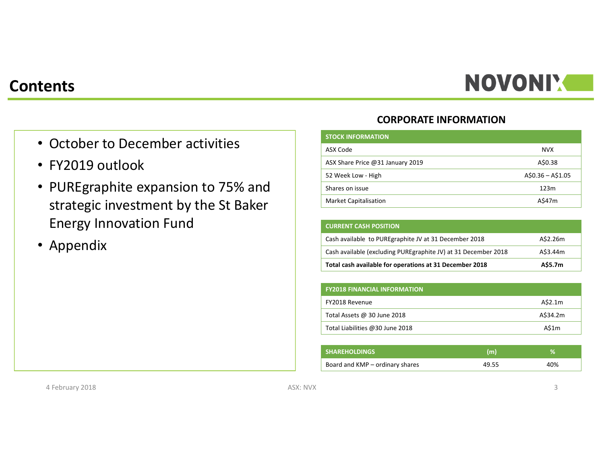# NOVONI'.

#### **Contents**

- October to December activities
- FY2019 outlook
- PUREgraphite expansion to 75% and strategic investment by the St Baker Energy Innovation Fund
- Appendix

#### **CORPORATE INFORMATION**

| <b>STOCK INFORMATION</b>         |                   |
|----------------------------------|-------------------|
| ASX Code                         | <b>NVX</b>        |
| ASX Share Price @31 January 2019 | A\$0.38           |
| 52 Week Low - High               | $A$0.36 - A$1.05$ |
| Shares on issue                  | 123m              |
| <b>Market Capitalisation</b>     | A\$47m            |

| <b>CURRENT CASH POSITION</b>                                    |          |
|-----------------------------------------------------------------|----------|
| Cash available to PURE graphite JV at 31 December 2018          | A\$2.26m |
| Cash available (excluding PURE graphite JV) at 31 December 2018 | A\$3.44m |
| Total cash available for operations at 31 December 2018         | A\$5.7m  |

| <b>FY2018 FINANCIAL INFORMATION</b> |          |
|-------------------------------------|----------|
| FY2018 Revenue                      | A\$2.1m  |
| Total Assets @ 30 June 2018         | A\$34.2m |
| Total Liabilities @30 June 2018     | A\$1m    |

| <b>SHAREHOLDINGS</b>            | (m)   |     |
|---------------------------------|-------|-----|
| Board and KMP – ordinary shares | 49.55 | 40% |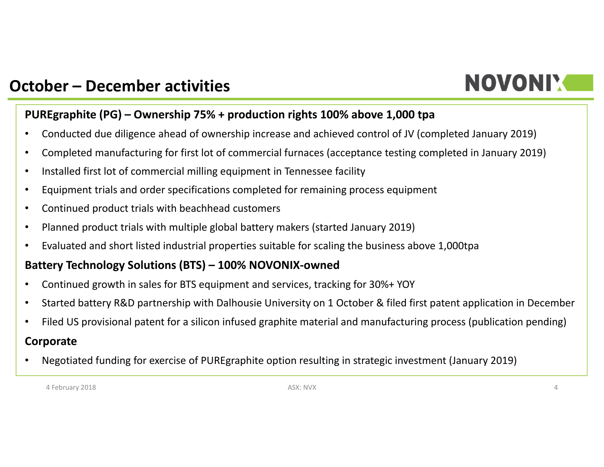# **NOVONIY**

### **October – December activities**

#### **PUREgraphite (PG) – Ownership 75% + production rights 100% above 1,000 tpa**

- •Conducted due diligence ahead of ownership increase and achieved control of JV (completed January 2019)
- •Completed manufacturing for first lot of commercial furnaces (acceptance testing completed in January 2019)
- •Installed first lot of commercial milling equipment in Tennessee facility
- •Equipment trials and order specifications completed for remaining process equipment
- •Continued product trials with beachhead customers
- •Planned product trials with multiple global battery makers (started January 2019)
- •Evaluated and short listed industrial properties suitable for scaling the business above 1,000tpa

#### **Battery Technology Solutions (BTS) – 100% NOVONIX‐owned**

- •Continued growth in sales for BTS equipment and services, tracking for 30%+ YOY
- $\bullet$ Started battery R&D partnership with Dalhousie University on 1 October & filed first patent application in December
- •Filed US provisional patent for a silicon infused graphite material and manufacturing process (publication pending)

#### **Corporate**

•Negotiated funding for exercise of PUREgraphite option resulting in strategic investment (January 2019)

4 February 2018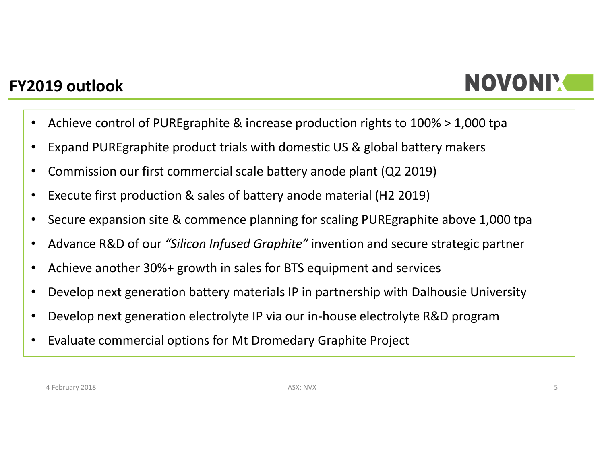### **FY2019 outlook**

## NOVONIY

- •Achieve control of PUREgraphite & increase production rights to 100% > 1,000 tpa
- •Expand PUREgraphite product trials with domestic US & global battery makers
- •Commission our first commercial scale battery anode plant (Q2 2019)
- •Execute first production & sales of battery anode material (H2 2019)
- •Secure expansion site & commence planning for scaling PUREgraphite above 1,000 tpa
- •Advance R&D of our *"Silicon Infused Graphite"* invention and secure strategic partner
- •Achieve another 30%+ growth in sales for BTS equipment and services
- •Develop next generation battery materials IP in partnership with Dalhousie University
- •Develop next generation electrolyte IP via our in‐house electrolyte R&D program
- •Evaluate commercial options for Mt Dromedary Graphite Project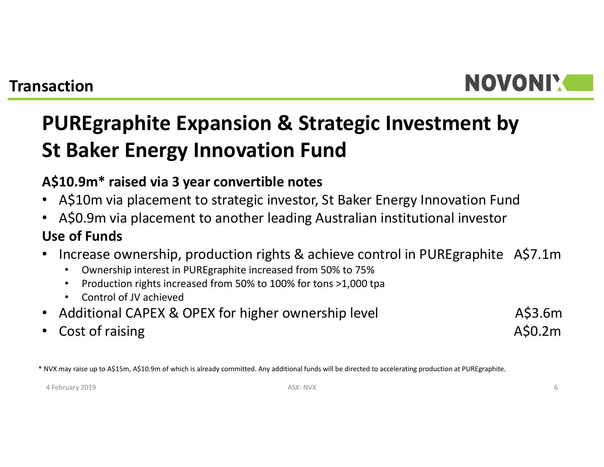# **NOVONIM**

### **PUREgraphite Expansion & Strategic Investment by St Baker Energy Innovation Fund**

#### **A\$10.9m\* raised via 3 year convertible notes**

- A\$10m via placement to strategic investor, St Baker Energy Innovation Fund
- A\$0.9m via placement to another leading Australian institutional investor **Use of Funds**
- $\bullet$  Increase ownership, production rights & achieve control in PUREgraphite A\$7.1m
	- •Ownership interest in PUREgraphite increased from 50% to 75%
	- •• Production rights increased from 50% to 100% for tons >1,000 tpa
	- •Control of JV achieved
- Additional CAPEX & OPEX for higher ownership level **AGO** A\$3.6m
- •Cost of raising and a set of raising and the cost of raising and the cost of raising and  $A\$ 0.2m

\* NVX may raise up to A\$15m, A\$10.9m of which is already committed. Any additional funds will be directed to accelerating production at PUREgraphite.

4 February 2019 ASX: NVX 6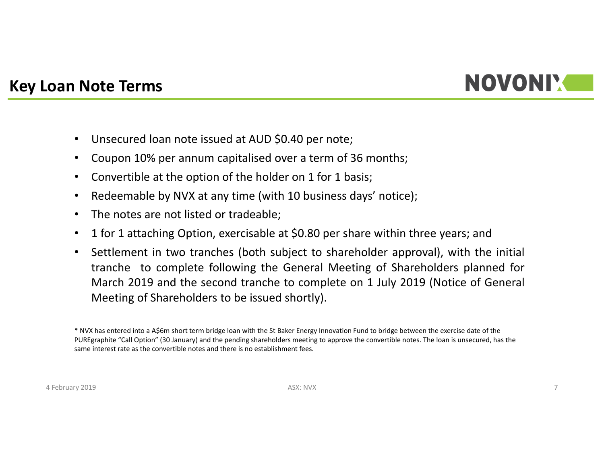

#### **Key Loan Note Terms**

- •Unsecured loan note issued at AUD \$0.40 per note;
- $\bullet$ Coupon 10% per annum capitalised over <sup>a</sup> term of 36 months;
- •Convertible at the option of the holder on 1 for 1 basis;
- $\bullet$ Redeemable by NVX at any time (with 10 business days' notice);
- •The notes are not listed or tradeable;
- $\bullet$ <sup>1</sup> for <sup>1</sup> attaching Option, exercisable at \$0.80 per share within three years; and
- • Settlement in two tranches (both subject to shareholder approval), with the initial tranche to complete following the General Meeting of Shareholders planned for March 2019 and the second tranche to complete on 1 July 2019 (Notice of General Meeting of Shareholders to be issued shortly).

<sup>\*</sup> NVX has entered into a A\$6m short term bridge loan with the St Baker Energy Innovation Fund to bridge between the exercise date of the PUREgraphite "Call Option" (30 January) and the pending shareholders meeting to approve the convertible notes. The loan is unsecured, has the same interest rate as the convertible notes and there is no establishment fees.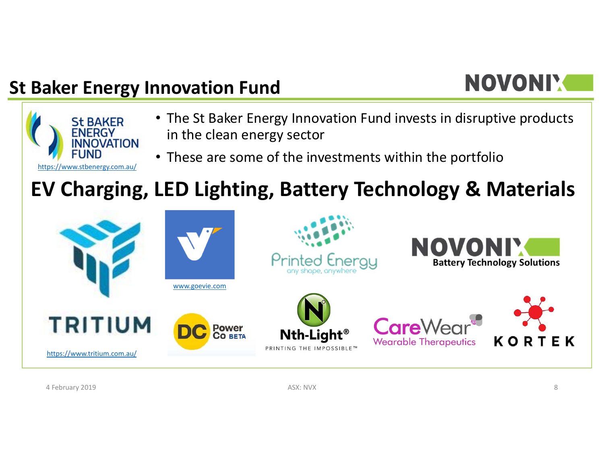### **St Baker Energy Innovation Fund**

# NOVONIY



**KORT** E K

4 February 2019 ASX: NVX 8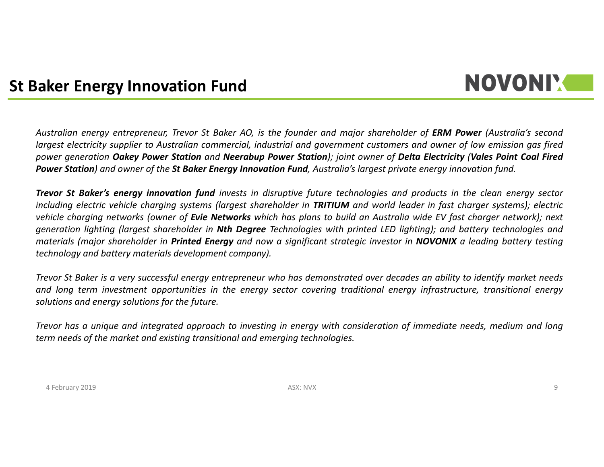#### **St Baker Energy Innovation Fund**

### **NOVONIM**

Australian energy entrepreneur, Trevor St Baker AO, is the founder and major shareholder of ERM Power (Australia's second largest electricity supplier to Australian commercial, industrial and government customers and owner of low emission gas fired power generation Oakey Power Station and Neerabup Power Station); joint owner of Delta Electricity (Vales Point Coal Fired Power Station) and owner of the St Baker Energy Innovation Fund, Australia's largest private energy innovation fund.

Trevor St Baker's energy innovation fund invests in disruptive future technologies and products in the clean energy sector including electric vehicle charging systems (largest shareholder in TRITIUM and world leader in fast charger systems); electric vehicle charging networks (owner of Evie Networks which has plans to build an Australia wide EV fast charger network); next generation lighting (largest shareholder in Nth Degree Technologies with printed LED lighting); and battery technologies and materials (major shareholder in Printed Energy and now a significant strategic investor in NOVONIX a leading battery testing *technology and battery materials development company).*

Trevor St Baker is a very successful energy entrepreneur who has demonstrated over decades an ability to identify market needs and long term investment opportunities in the energy sector covering traditional energy infrastructure, transitional energy *solutions and energy solutions for the future.*

Trevor has a unique and integrated approach to investing in energy with consideration of immediate needs, medium and long *term needs of the market and existing transitional and emerging technologies.*

4 February 2019 ASX: NVX 9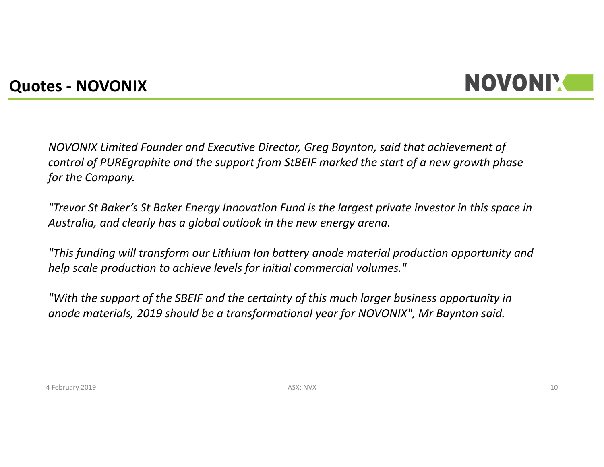#### **Quotes ‐ NOVONIX**

### NOVONIY

*NOVONIX Limited Founder and Executive Director, Greg Baynton, said that achievement of control of PUREgraphite and the support from StBEIF marked the start of a new growth phase for the Company.*

*"Trevor St Baker's St Baker Energy Innovation Fund is the largest private investor in this space in Australia, and clearly has a global outlook in the new energy arena.*

*"This funding will transform our Lithium Ion battery anode material production opportunity and help scale production to achieve levels for initial commercial volumes."*

*"With the support of the SBEIF and the certainty of this much larger business opportunity in anode materials, 2019 should be a transformational year for NOVONIX", Mr Baynton said.*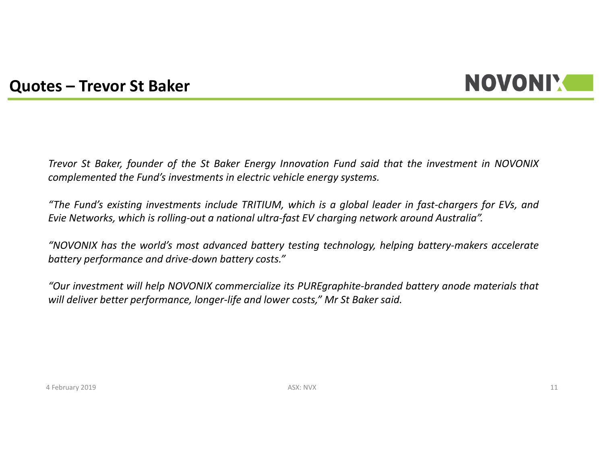### **NOVONIX**

#### **Quotes – Trevor St Baker**

Trevor St Baker, founder of the St Baker Energy Innovation Fund said that the investment in NOVONIX *complemented the Fund's investments in electric vehicle energy systems.*

"The Fund's existing investments include TRITIUM, which is a global leader in fast-chargers for EVs, and Evie Networks, which is rolling-out a national ultra-fast EV charging network around Australia".

"NOVONIX has the world's most advanced battery testing technology, helping battery-makers accelerate *battery performance and drive‐down battery costs."*

"Our investment will help NOVONIX commercialize its PUREgraphite-branded battery anode materials that will deliver better performance, longer-life and lower costs," Mr St Baker said.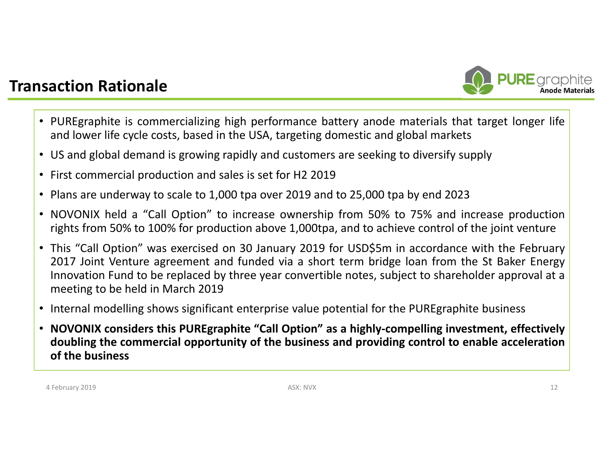#### **Transaction Rationale**



- PUREgraphite is commercializing high performance battery anode materials that target longer life and lower life cycle costs, based in the USA, targeting domestic and global markets
- US and global demand is growing rapidly and customers are seeking to diversify supply
- First commercial production and sales is set for H2 2019
- Plans are underway to scale to 1,000 tpa over 2019 and to 25,000 tpa by end 202 3
- NOVONIX held <sup>a</sup> "Call Option" to increase ownership from 50% to 75% and increase production rights from 50% to 100% for production above 1,000tpa, and to achieve control of the joint venture
- This "Call Option" was exercised on 30 January 2019 for USD\$5m in accordance with the February 2017 Joint Venture agreement and funded via <sup>a</sup> short term bridge loan from the St Baker Energy Innovation Fund to be replaced by three year convertible notes, subject to shareholder approval at <sup>a</sup> meeting to be held in March 2019
- Internal modelling shows significant enterprise value potential for the PUREgraphite business
- NOVONIX considers this PUREgraphite "Call Option" as a highly-compelling investment, effectively doubling the commercial opportunity of the business and providing control to enable acceleration **of the business**

4 February 2019 ASX: NVX 12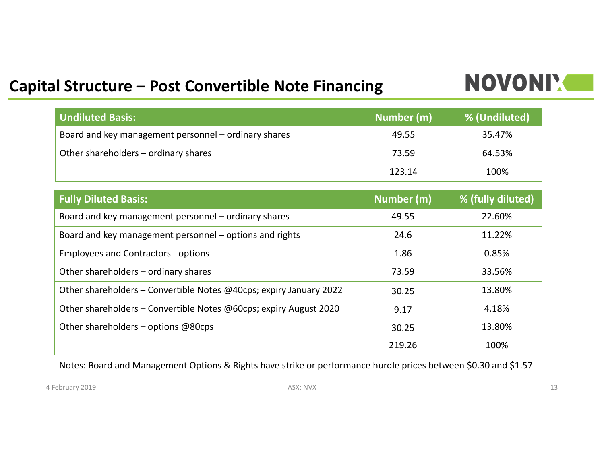### **Capital Structure – Post Convertible Note Financing**

### NOVONIX

| <b>Undiluted Basis:</b>                              | Number (m) | % (Undiluted) |
|------------------------------------------------------|------------|---------------|
| Board and key management personnel – ordinary shares | 49.55      | 35.47%        |
| Other shareholders – ordinary shares                 | 73.59      | 64.53%        |
|                                                      | 123.14     | 100%          |

| <b>Fully Diluted Basis:</b>                                        | Number (m) | % (fully diluted) |
|--------------------------------------------------------------------|------------|-------------------|
| Board and key management personnel – ordinary shares               | 49.55      | 22.60%            |
| Board and key management personnel – options and rights            | 24.6       | 11.22%            |
| <b>Employees and Contractors - options</b>                         | 1.86       | 0.85%             |
| Other shareholders – ordinary shares                               | 73.59      | 33.56%            |
| Other shareholders – Convertible Notes @40cps; expiry January 2022 | 30.25      | 13.80%            |
| Other shareholders - Convertible Notes @60cps; expiry August 2020  | 9.17       | 4.18%             |
| Other shareholders – options $@80\text{cps}$                       | 30.25      | 13.80%            |
|                                                                    | 219.26     | 100%              |

Notes: Board and Management Options & Rights have strike or performance hurdle prices between \$0.30 and \$1.57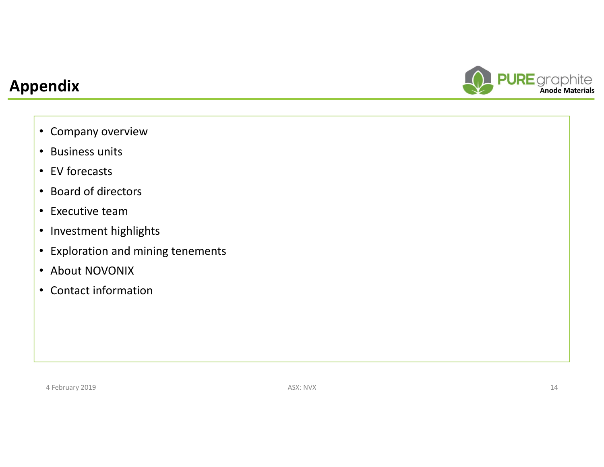### **Appendix**



- Company overview
- Business units
- EV forecasts
- Board of directors
- Executive team
- Investment highlights
- Exploration and mining tenements
- About NOVONIX
- Contact information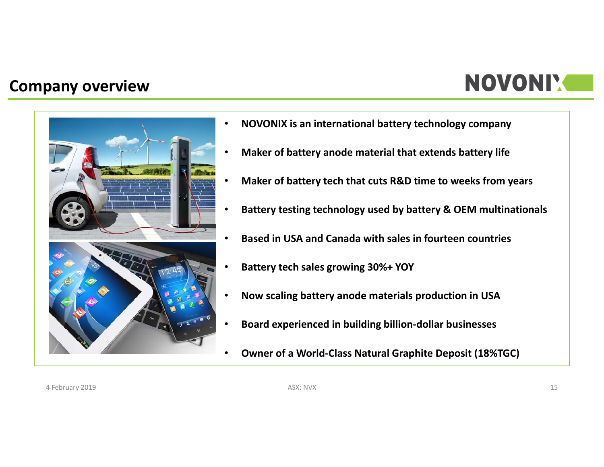#### **Company overview**

## **NOVONIX**



•

- **NOVONIX is an international battery technology company**
- •**Maker of battery anode material that extends battery life**
- •**Maker of battery tech that cuts R&D time to weeks from years**
- •**Battery testing technology used by battery & OEM multinationals**
- •**Based in USA and Canada with sales in fourteen countries**
- •**Battery tech sales growing 30%+ YOY**
- •**Now scaling battery anode materials production in USA**
- •**Board experienced in building billion‐dollar businesses**
- •**Owner of a World‐Class Natural Graphite Deposit (18%TGC)**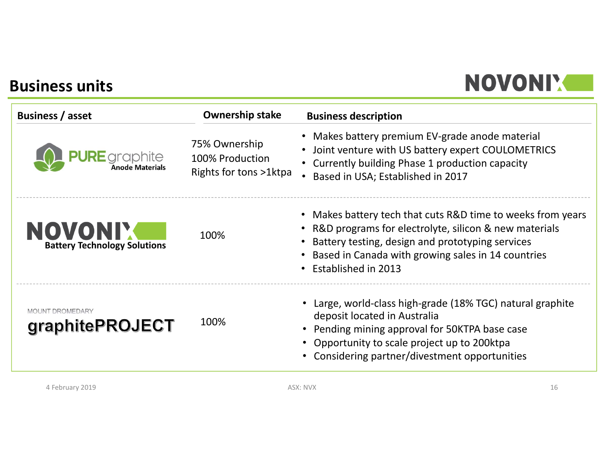#### **Business units**

## NOVONI'.

| <b>Business / asset</b>                   | <b>Ownership stake</b>                                     | <b>Business description</b>                                                                                                                                                                                                                           |
|-------------------------------------------|------------------------------------------------------------|-------------------------------------------------------------------------------------------------------------------------------------------------------------------------------------------------------------------------------------------------------|
| <b>PURE</b> graphite                      | 75% Ownership<br>100% Production<br>Rights for tons >1ktpa | • Makes battery premium EV-grade anode material<br>Joint venture with US battery expert COULOMETRICS<br>$\bullet$<br>Currently building Phase 1 production capacity<br>Based in USA; Established in 2017                                              |
| <b>Battery Technology Solutions</b>       | 100%                                                       | • Makes battery tech that cuts R&D time to weeks from years<br>R&D programs for electrolyte, silicon & new materials<br>Battery testing, design and prototyping services<br>Based in Canada with growing sales in 14 countries<br>Established in 2013 |
| <b>MOUNT DROMEDARY</b><br>graphitePROJECT | 100%                                                       | • Large, world-class high-grade (18% TGC) natural graphite<br>deposit located in Australia<br>• Pending mining approval for 50KTPA base case<br>• Opportunity to scale project up to 200ktpa<br>• Considering partner/divestment opportunities        |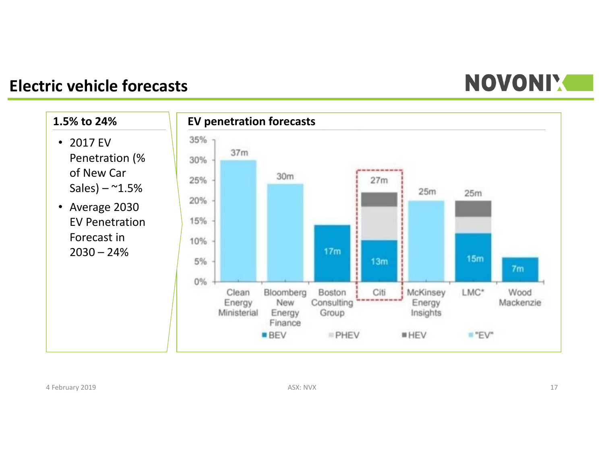# **NOVONI'S**

#### **Electric vehicle forecasts**

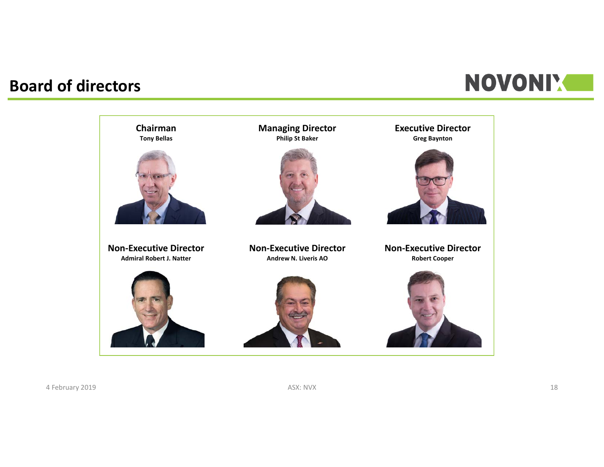### **Board of directors**



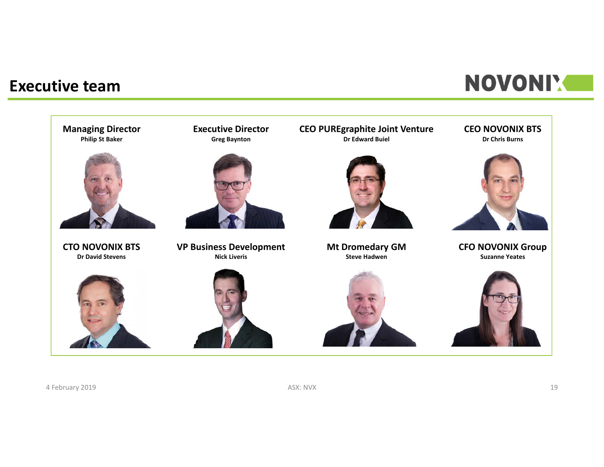#### **Executive team**

## **NOVONI'S**

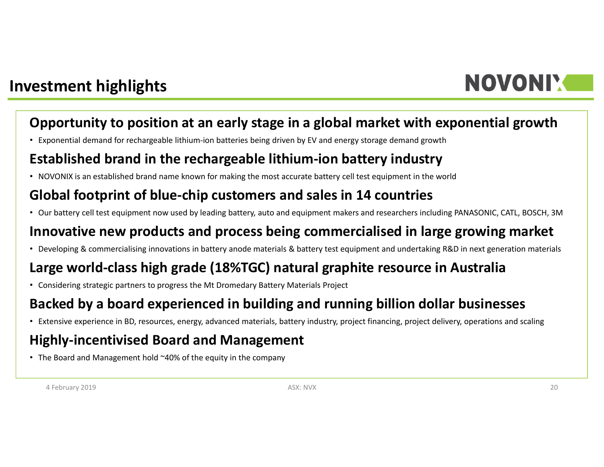

#### **Investment highlights**

#### **Opportunity to position at an early stage in a global market with exponential growth**

• Exponential demand for rechargeable lithium‐ion batteries being driven by EV and energy storage demand growth

#### **Established brand in the rechargeable lithium‐ion battery industry**

• NOVONIX is an established brand name known for making the most accurate battery cell test equipment in the world

#### **Global footprint of blue‐chip customers and sales in 14 countries**

• Our battery cell test equipment now used by leading battery, auto and equipment makers and researchers including PANASONIC, CATL, BOSCH, 3M

#### **Innovative new products and process being commercialised in large growing market**

• Developing & commercialising innovations in battery anode materials & battery test equipment and undertaking R&D in next generation materials

#### **Large world‐class high grade (18%TGC) natural graphite resource in Australia**

• Considering strategic partners to progress the Mt Dromedary Battery Materials Project

#### **Backed by a board experienced in building and running billion dollar businesses**

• Extensive experience in BD, resources, energy, advanced materials, battery industry, project financing, project delivery, operations and scaling

#### **Highly‐incentivised Board and Management**

• The Board and Management hold ~40% of the equity in the company

4 February 2019 ASX: NVX 20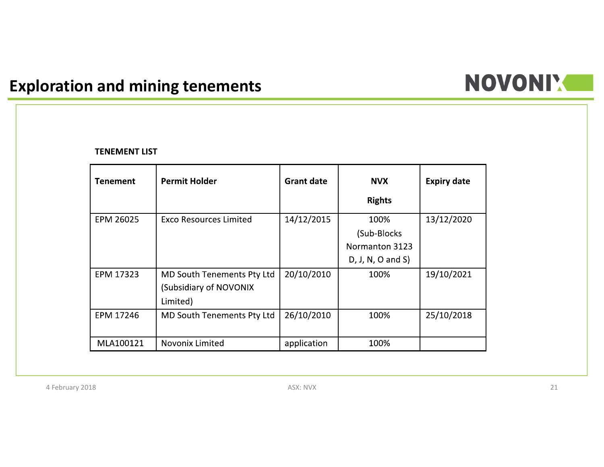### **Exploration and mining tenements**

# NOVONI'.

#### **TENEMENT LIST**

| <b>Tenement</b> | <b>Permit Holder</b>              | <b>Grant date</b> | <b>NVX</b>          | <b>Expiry date</b> |
|-----------------|-----------------------------------|-------------------|---------------------|--------------------|
|                 |                                   |                   | <b>Rights</b>       |                    |
| EPM 26025       | <b>Exco Resources Limited</b>     | 14/12/2015        | 100%                | 13/12/2020         |
|                 |                                   |                   | (Sub-Blocks)        |                    |
|                 |                                   |                   | Normanton 3123      |                    |
|                 |                                   |                   | $D, J, N, O$ and S) |                    |
| EPM 17323       | <b>MD South Tenements Pty Ltd</b> | 20/10/2010        | 100%                | 19/10/2021         |
|                 | (Subsidiary of NOVONIX            |                   |                     |                    |
|                 | Limited)                          |                   |                     |                    |
| EPM 17246       | MD South Tenements Pty Ltd        | 26/10/2010        | 100%                | 25/10/2018         |
|                 |                                   |                   |                     |                    |
| MLA100121       | Novonix Limited                   | application       | 100%                |                    |

4 February 2018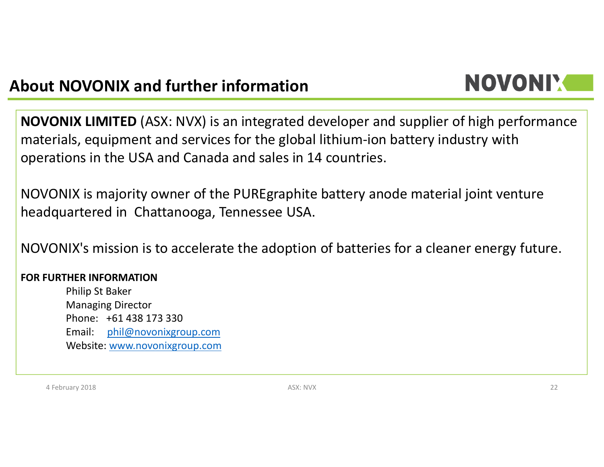### **About NOVONIX and further information**

# NOVONIY

**NOVONIX LIMITED** (ASX: NVX) is an integrated developer and supplier of high performance materials, equipment and services for the global lithium‐ion battery industry with operations in the USA and Canada and sales in 14 countries.

NOVONIX is majority owner of the PUREgraphite battery anode material joint venture headquartered in Chattanooga, Tennessee USA.

NOVONIX's mission is to accelerate the adoption of batteries for a cleaner energy future.

#### **FOR FURTHER INFORMATION**

Philip St Baker Managing Director Phone: +61 438 173 330Email: phil@novonixgroup.com Website: www.novonixgroup.com

4 February 2018